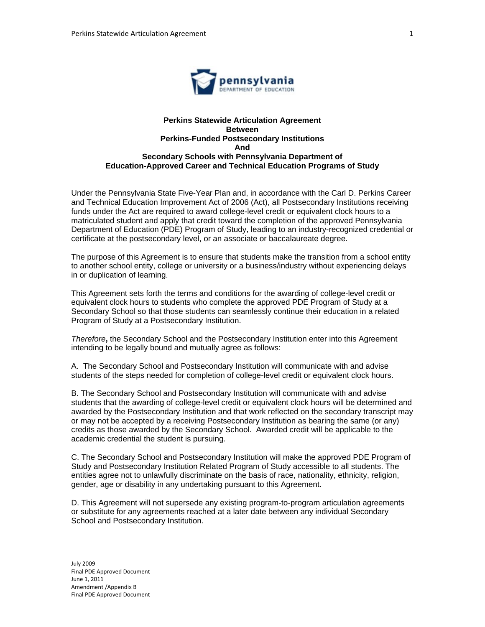

### **Perkins Statewide Articulation Agreement Between Perkins-Funded Postsecondary Institutions And Secondary Schools with Pennsylvania Department of Education-Approved Career and Technical Education Programs of Study**

Under the Pennsylvania State Five-Year Plan and, in accordance with the Carl D. Perkins Career and Technical Education Improvement Act of 2006 (Act), all Postsecondary Institutions receiving funds under the Act are required to award college-level credit or equivalent clock hours to a matriculated student and apply that credit toward the completion of the approved Pennsylvania Department of Education (PDE) Program of Study, leading to an industry-recognized credential or certificate at the postsecondary level, or an associate or baccalaureate degree.

The purpose of this Agreement is to ensure that students make the transition from a school entity to another school entity, college or university or a business/industry without experiencing delays in or duplication of learning.

This Agreement sets forth the terms and conditions for the awarding of college-level credit or equivalent clock hours to students who complete the approved PDE Program of Study at a Secondary School so that those students can seamlessly continue their education in a related Program of Study at a Postsecondary Institution.

*Therefore***,** the Secondary School and the Postsecondary Institution enter into this Agreement intending to be legally bound and mutually agree as follows:

A. The Secondary School and Postsecondary Institution will communicate with and advise students of the steps needed for completion of college-level credit or equivalent clock hours.

B. The Secondary School and Postsecondary Institution will communicate with and advise students that the awarding of college-level credit or equivalent clock hours will be determined and awarded by the Postsecondary Institution and that work reflected on the secondary transcript may or may not be accepted by a receiving Postsecondary Institution as bearing the same (or any) credits as those awarded by the Secondary School. Awarded credit will be applicable to the academic credential the student is pursuing.

C. The Secondary School and Postsecondary Institution will make the approved PDE Program of Study and Postsecondary Institution Related Program of Study accessible to all students. The entities agree not to unlawfully discriminate on the basis of race, nationality, ethnicity, religion, gender, age or disability in any undertaking pursuant to this Agreement.

D. This Agreement will not supersede any existing program-to-program articulation agreements or substitute for any agreements reached at a later date between any individual Secondary School and Postsecondary Institution.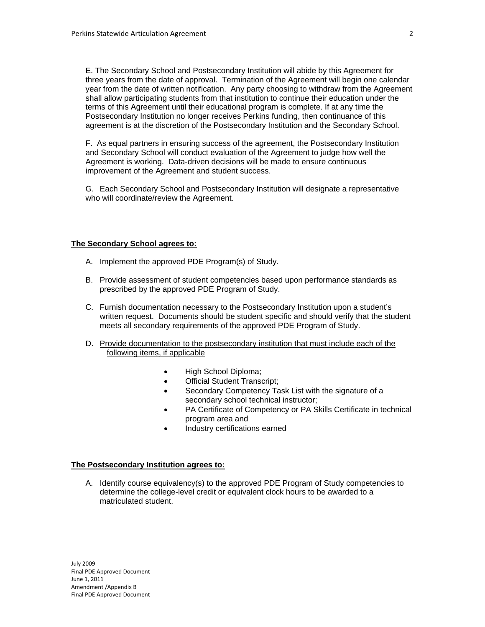E. The Secondary School and Postsecondary Institution will abide by this Agreement for three years from the date of approval. Termination of the Agreement will begin one calendar year from the date of written notification. Any party choosing to withdraw from the Agreement shall allow participating students from that institution to continue their education under the terms of this Agreement until their educational program is complete. If at any time the Postsecondary Institution no longer receives Perkins funding, then continuance of this agreement is at the discretion of the Postsecondary Institution and the Secondary School.

F. As equal partners in ensuring success of the agreement, the Postsecondary Institution and Secondary School will conduct evaluation of the Agreement to judge how well the Agreement is working. Data-driven decisions will be made to ensure continuous improvement of the Agreement and student success.

G. Each Secondary School and Postsecondary Institution will designate a representative who will coordinate/review the Agreement.

## **The Secondary School agrees to:**

- A. Implement the approved PDE Program(s) of Study.
- B. Provide assessment of student competencies based upon performance standards as prescribed by the approved PDE Program of Study.
- C. Furnish documentation necessary to the Postsecondary Institution upon a student's written request. Documents should be student specific and should verify that the student meets all secondary requirements of the approved PDE Program of Study.
- D. Provide documentation to the postsecondary institution that must include each of the following items, if applicable
	- High School Diploma;
	- Official Student Transcript;
	- Secondary Competency Task List with the signature of a secondary school technical instructor;
	- PA Certificate of Competency or PA Skills Certificate in technical program area and
	- Industry certifications earned

### **The Postsecondary Institution agrees to:**

A. Identify course equivalency(s) to the approved PDE Program of Study competencies to determine the college-level credit or equivalent clock hours to be awarded to a matriculated student.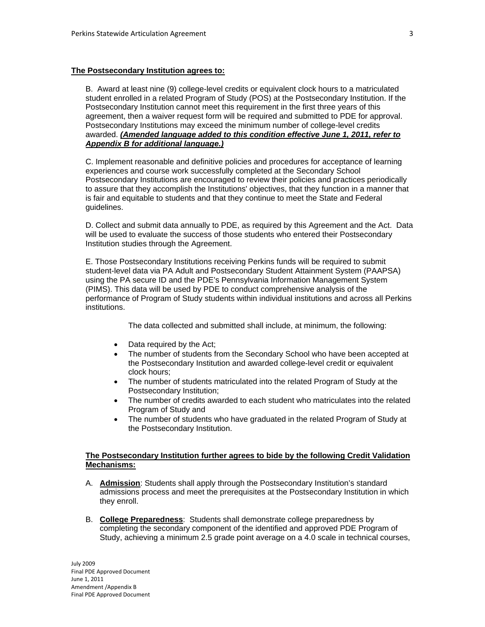#### **The Postsecondary Institution agrees to:**

B. Award at least nine (9) college-level credits or equivalent clock hours to a matriculated student enrolled in a related Program of Study (POS) at the Postsecondary Institution. If the Postsecondary Institution cannot meet this requirement in the first three years of this agreement, then a waiver request form will be required and submitted to PDE for approval. Postsecondary Institutions may exceed the minimum number of college-level credits awarded. *(Amended language added to this condition effective June 1, 2011, refer to Appendix B for additional language.)*

C. Implement reasonable and definitive policies and procedures for acceptance of learning experiences and course work successfully completed at the Secondary School Postsecondary Institutions are encouraged to review their policies and practices periodically to assure that they accomplish the Institutions' objectives, that they function in a manner that is fair and equitable to students and that they continue to meet the State and Federal guidelines.

D. Collect and submit data annually to PDE, as required by this Agreement and the Act. Data will be used to evaluate the success of those students who entered their Postsecondary Institution studies through the Agreement.

E. Those Postsecondary Institutions receiving Perkins funds will be required to submit student-level data via PA Adult and Postsecondary Student Attainment System (PAAPSA) using the PA secure ID and the PDE's Pennsylvania Information Management System (PIMS). This data will be used by PDE to conduct comprehensive analysis of the performance of Program of Study students within individual institutions and across all Perkins institutions.

The data collected and submitted shall include, at minimum, the following:

- Data required by the Act;
- The number of students from the Secondary School who have been accepted at the Postsecondary Institution and awarded college-level credit or equivalent clock hours;
- The number of students matriculated into the related Program of Study at the Postsecondary Institution;
- The number of credits awarded to each student who matriculates into the related Program of Study and
- The number of students who have graduated in the related Program of Study at the Postsecondary Institution.

# **The Postsecondary Institution further agrees to bide by the following Credit Validation Mechanisms:**

- A. **Admission**: Students shall apply through the Postsecondary Institution's standard admissions process and meet the prerequisites at the Postsecondary Institution in which they enroll.
- B. **College Preparedness**: Students shall demonstrate college preparedness by completing the secondary component of the identified and approved PDE Program of Study, achieving a minimum 2.5 grade point average on a 4.0 scale in technical courses,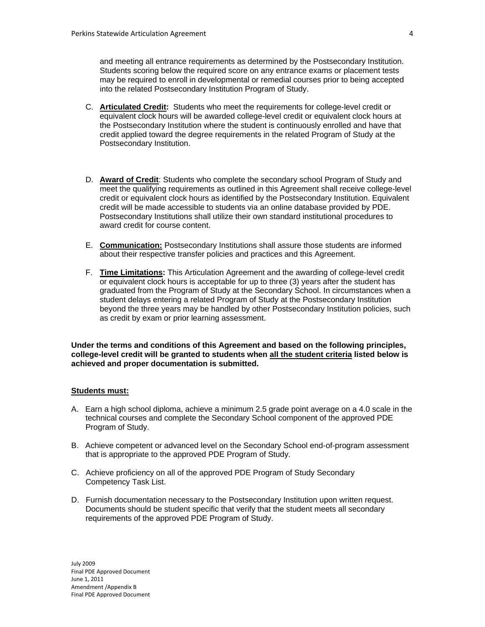and meeting all entrance requirements as determined by the Postsecondary Institution. Students scoring below the required score on any entrance exams or placement tests may be required to enroll in developmental or remedial courses prior to being accepted into the related Postsecondary Institution Program of Study.

- C. **Articulated Credit:** Students who meet the requirements for college-level credit or equivalent clock hours will be awarded college-level credit or equivalent clock hours at the Postsecondary Institution where the student is continuously enrolled and have that credit applied toward the degree requirements in the related Program of Study at the Postsecondary Institution.
- D. **Award of Credit**: Students who complete the secondary school Program of Study and meet the qualifying requirements as outlined in this Agreement shall receive college-level credit or equivalent clock hours as identified by the Postsecondary Institution. Equivalent credit will be made accessible to students via an online database provided by PDE. Postsecondary Institutions shall utilize their own standard institutional procedures to award credit for course content.
- E. **Communication:** Postsecondary Institutions shall assure those students are informed about their respective transfer policies and practices and this Agreement.
- F. **Time Limitations:** This Articulation Agreement and the awarding of college-level credit or equivalent clock hours is acceptable for up to three (3) years after the student has graduated from the Program of Study at the Secondary School. In circumstances when a student delays entering a related Program of Study at the Postsecondary Institution beyond the three years may be handled by other Postsecondary Institution policies, such as credit by exam or prior learning assessment.

**Under the terms and conditions of this Agreement and based on the following principles, college-level credit will be granted to students when all the student criteria listed below is achieved and proper documentation is submitted.** 

## **Students must:**

- A. Earn a high school diploma, achieve a minimum 2.5 grade point average on a 4.0 scale in the technical courses and complete the Secondary School component of the approved PDE Program of Study.
- B. Achieve competent or advanced level on the Secondary School end-of-program assessment that is appropriate to the approved PDE Program of Study.
- C. Achieve proficiency on all of the approved PDE Program of Study Secondary Competency Task List.
- D. Furnish documentation necessary to the Postsecondary Institution upon written request. Documents should be student specific that verify that the student meets all secondary requirements of the approved PDE Program of Study.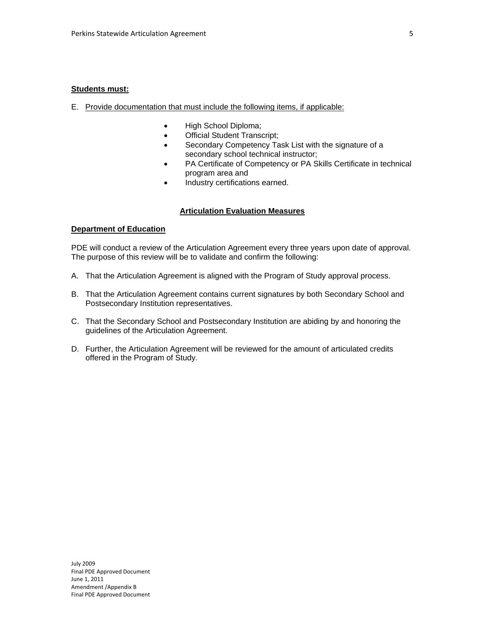#### **Students must:**

- E. Provide documentation that must include the following items, if applicable:
	- High School Diploma;
	- Official Student Transcript;
	- Secondary Competency Task List with the signature of a secondary school technical instructor;
	- PA Certificate of Competency or PA Skills Certificate in technical program area and
	- Industry certifications earned.

## **Articulation Evaluation Measures**

## **Department of Education**

PDE will conduct a review of the Articulation Agreement every three years upon date of approval. The purpose of this review will be to validate and confirm the following:

- A. That the Articulation Agreement is aligned with the Program of Study approval process.
- B. That the Articulation Agreement contains current signatures by both Secondary School and Postsecondary Institution representatives.
- C. That the Secondary School and Postsecondary Institution are abiding by and honoring the guidelines of the Articulation Agreement.
- D. Further, the Articulation Agreement will be reviewed for the amount of articulated credits offered in the Program of Study.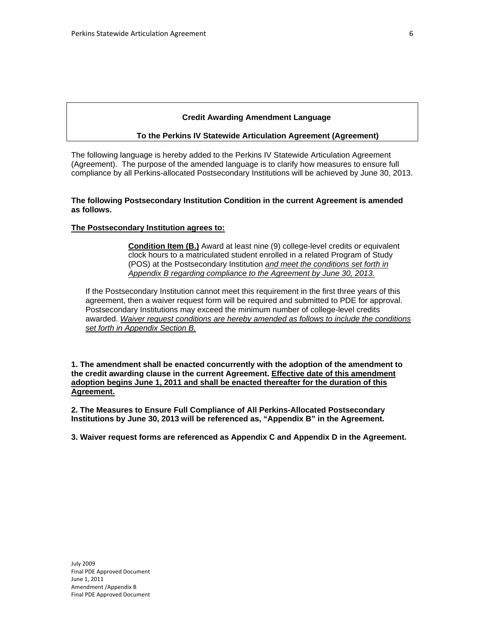#### **Credit Awarding Amendment Language**

#### **To the Perkins IV Statewide Articulation Agreement (Agreement)**

The following language is hereby added to the Perkins IV Statewide Articulation Agreement (Agreement). The purpose of the amended language is to clarify how measures to ensure full compliance by all Perkins-allocated Postsecondary Institutions will be achieved by June 30, 2013.

### **The following Postsecondary Institution Condition in the current Agreement is amended as follows.**

#### **The Postsecondary Institution agrees to:**

**Condition Item (B.)** Award at least nine (9) college-level credits or equivalent clock hours to a matriculated student enrolled in a related Program of Study (POS) at the Postsecondary Institution *and meet the conditions set forth in Appendix B regarding compliance to the Agreement by June 30, 2013.* 

If the Postsecondary Institution cannot meet this requirement in the first three years of this agreement, then a waiver request form will be required and submitted to PDE for approval. Postsecondary Institutions may exceed the minimum number of college-level credits awarded. *Waiver request conditions are hereby amended as follows to include the conditions set forth in Appendix Section B.*

**1. The amendment shall be enacted concurrently with the adoption of the amendment to the credit awarding clause in the current Agreement. Effective date of this amendment adoption begins June 1, 2011 and shall be enacted thereafter for the duration of this Agreement.** 

**2. The Measures to Ensure Full Compliance of All Perkins-Allocated Postsecondary Institutions by June 30, 2013 will be referenced as, "Appendix B" in the Agreement.** 

**3. Waiver request forms are referenced as Appendix C and Appendix D in the Agreement.**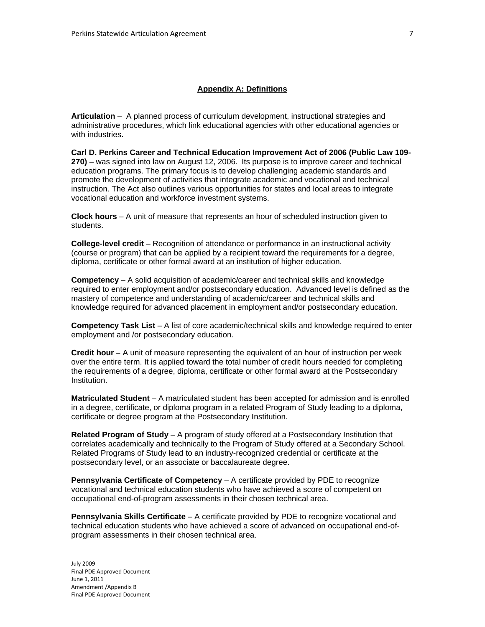## **Appendix A: Definitions**

**Articulation** –A planned process of curriculum development, instructional strategies and administrative procedures, which link educational agencies with other educational agencies or with industries.

**Carl D. Perkins Career and Technical Education Improvement Act of 2006 (Public Law 109- 270)** – was signed into law on August 12, 2006. Its purpose is to improve career and technical education programs. The primary focus is to develop challenging academic standards and promote the development of activities that integrate academic and vocational and technical instruction. The Act also outlines various opportunities for states and local areas to integrate vocational education and workforce investment systems.

**Clock hours** – A unit of measure that represents an hour of scheduled instruction given to students.

**College-level credit** – Recognition of attendance or performance in an instructional activity (course or program) that can be applied by a recipient toward the requirements for a degree, diploma, certificate or other formal award at an institution of higher education.

**Competency** – A solid acquisition of academic/career and technical skills and knowledge required to enter employment and/or postsecondary education. Advanced level is defined as the mastery of competence and understanding of academic/career and technical skills and knowledge required for advanced placement in employment and/or postsecondary education.

**Competency Task List** – A list of core academic/technical skills and knowledge required to enter employment and /or postsecondary education.

**Credit hour –** A unit of measure representing the equivalent of an hour of instruction per week over the entire term. It is applied toward the total number of credit hours needed for completing the requirements of a degree, diploma, certificate or other formal award at the Postsecondary Institution.

**Matriculated Student** – A matriculated student has been accepted for admission and is enrolled in a degree, certificate, or diploma program in a related Program of Study leading to a diploma, certificate or degree program at the Postsecondary Institution.

**Related Program of Study** – A program of study offered at a Postsecondary Institution that correlates academically and technically to the Program of Study offered at a Secondary School. Related Programs of Study lead to an industry-recognized credential or certificate at the postsecondary level, or an associate or baccalaureate degree.

**Pennsylvania Certificate of Competency** – A certificate provided by PDE to recognize vocational and technical education students who have achieved a score of competent on occupational end-of-program assessments in their chosen technical area.

**Pennsylvania Skills Certificate** – A certificate provided by PDE to recognize vocational and technical education students who have achieved a score of advanced on occupational end-ofprogram assessments in their chosen technical area.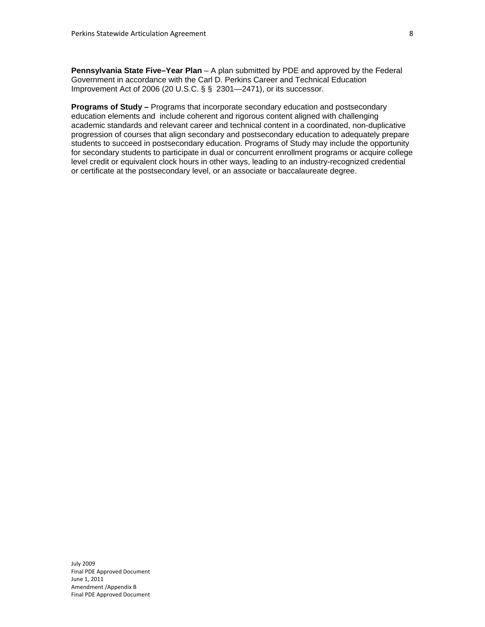**Pennsylvania State Five–Year Plan** – A plan submitted by PDE and approved by the Federal Government in accordance with the Carl D. Perkins Career and Technical Education Improvement Act of 2006 (20 U.S.C. § § 2301—2471), or its successor.

**Programs of Study –** Programs that incorporate secondary education and postsecondary education elements and include coherent and rigorous content aligned with challenging academic standards and relevant career and technical content in a coordinated, non-duplicative progression of courses that align secondary and postsecondary education to adequately prepare students to succeed in postsecondary education. Programs of Study may include the opportunity for secondary students to participate in dual or concurrent enrollment programs or acquire college level credit or equivalent clock hours in other ways, leading to an industry-recognized credential or certificate at the postsecondary level, or an associate or baccalaureate degree.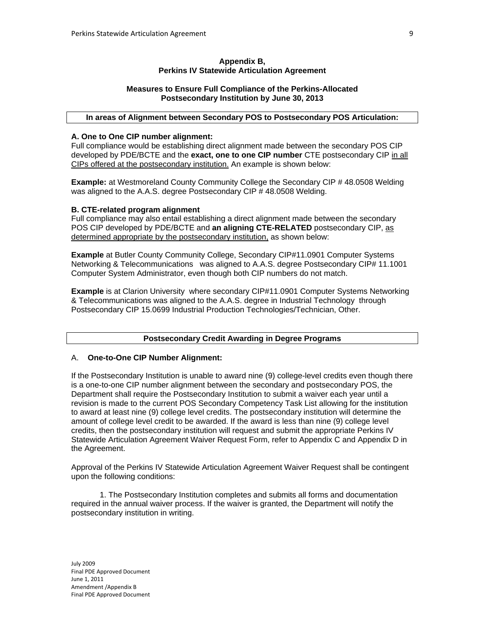### **Appendix B, Perkins IV Statewide Articulation Agreement**

## **Measures to Ensure Full Compliance of the Perkins-Allocated Postsecondary Institution by June 30, 2013**

# **In areas of Alignment between Secondary POS to Postsecondary POS Articulation:**

## **A. One to One CIP number alignment:**

Full compliance would be establishing direct alignment made between the secondary POS CIP developed by PDE/BCTE and the **exact, one to one CIP number** CTE postsecondary CIP in all CIPs offered at the postsecondary institution. An example is shown below:

**Example:** at Westmoreland County Community College the Secondary CIP # 48.0508 Welding was aligned to the A.A.S. degree Postsecondary CIP # 48.0508 Welding.

### **B. CTE-related program alignment**

Full compliance may also entail establishing a direct alignment made between the secondary POS CIP developed by PDE/BCTE and **an aligning CTE-RELATED** postsecondary CIP, as determined appropriate by the postsecondary institution, as shown below:

**Example** at Butler County Community College, Secondary CIP#11.0901 Computer Systems Networking & Telecommunications was aligned to A.A.S. degree Postsecondary CIP# 11.1001 Computer System Administrator, even though both CIP numbers do not match.

**Example** is at Clarion University where secondary CIP#11.0901 Computer Systems Networking & Telecommunications was aligned to the A.A.S. degree in Industrial Technology through Postsecondary CIP 15.0699 Industrial Production Technologies/Technician, Other.

## **Postsecondary Credit Awarding in Degree Programs**

#### A. **One-to-One CIP Number Alignment:**

If the Postsecondary Institution is unable to award nine (9) college-level credits even though there is a one-to-one CIP number alignment between the secondary and postsecondary POS, the Department shall require the Postsecondary Institution to submit a waiver each year until a revision is made to the current POS Secondary Competency Task List allowing for the institution to award at least nine (9) college level credits. The postsecondary institution will determine the amount of college level credit to be awarded. If the award is less than nine (9) college level credits, then the postsecondary institution will request and submit the appropriate Perkins IV Statewide Articulation Agreement Waiver Request Form, refer to Appendix C and Appendix D in the Agreement.

Approval of the Perkins IV Statewide Articulation Agreement Waiver Request shall be contingent upon the following conditions:

 1. The Postsecondary Institution completes and submits all forms and documentation required in the annual waiver process. If the waiver is granted, the Department will notify the postsecondary institution in writing.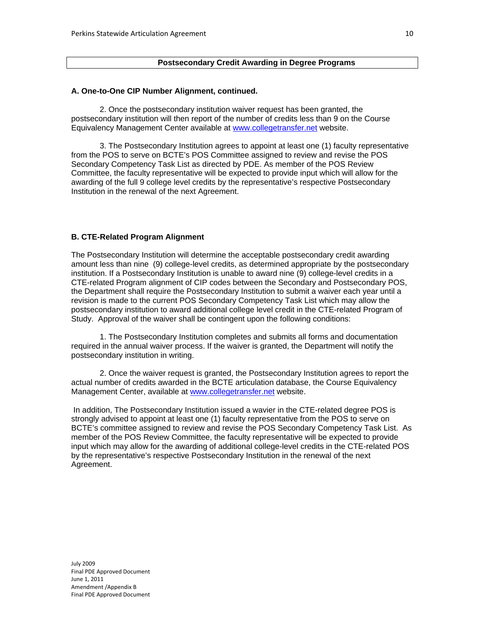# **Postsecondary Credit Awarding in Degree Programs**

# **A. One-to-One CIP Number Alignment, continued.**

 2. Once the postsecondary institution waiver request has been granted, the postsecondary institution will then report of the number of credits less than 9 on the Course Equivalency Management Center available at www.collegetransfer.net website.

 3. The Postsecondary Institution agrees to appoint at least one (1) faculty representative from the POS to serve on BCTE's POS Committee assigned to review and revise the POS Secondary Competency Task List as directed by PDE. As member of the POS Review Committee, the faculty representative will be expected to provide input which will allow for the awarding of the full 9 college level credits by the representative's respective Postsecondary Institution in the renewal of the next Agreement.

#### **B. CTE-Related Program Alignment**

The Postsecondary Institution will determine the acceptable postsecondary credit awarding amount less than nine (9) college-level credits, as determined appropriate by the postsecondary institution. If a Postsecondary Institution is unable to award nine (9) college-level credits in a CTE-related Program alignment of CIP codes between the Secondary and Postsecondary POS, the Department shall require the Postsecondary Institution to submit a waiver each year until a revision is made to the current POS Secondary Competency Task List which may allow the postsecondary institution to award additional college level credit in the CTE-related Program of Study. Approval of the waiver shall be contingent upon the following conditions:

1. The Postsecondary Institution completes and submits all forms and documentation required in the annual waiver process. If the waiver is granted, the Department will notify the postsecondary institution in writing.

2. Once the waiver request is granted, the Postsecondary Institution agrees to report the actual number of credits awarded in the BCTE articulation database, the Course Equivalency Management Center, available at www.collegetransfer.net website.

 In addition, The Postsecondary Institution issued a wavier in the CTE-related degree POS is strongly advised to appoint at least one (1) faculty representative from the POS to serve on BCTE's committee assigned to review and revise the POS Secondary Competency Task List. As member of the POS Review Committee, the faculty representative will be expected to provide input which may allow for the awarding of additional college-level credits in the CTE-related POS by the representative's respective Postsecondary Institution in the renewal of the next Agreement.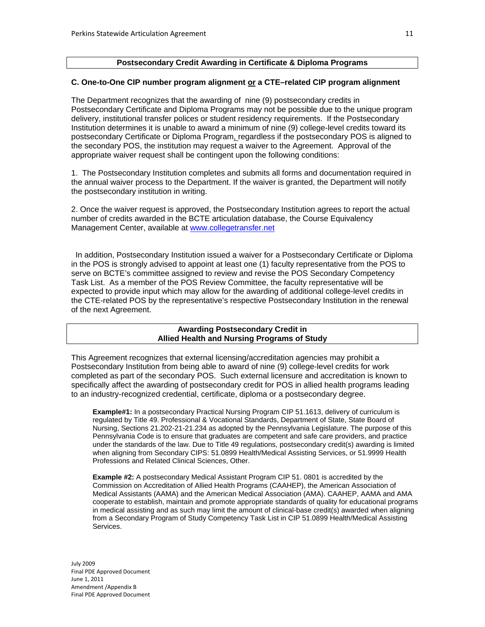### **Postsecondary Credit Awarding in Certificate & Diploma Programs**

# **C. One-to-One CIP number program alignment or a CTE–related CIP program alignment**

The Department recognizes that the awarding of nine (9) postsecondary credits in Postsecondary Certificate and Diploma Programs may not be possible due to the unique program delivery, institutional transfer polices or student residency requirements. If the Postsecondary Institution determines it is unable to award a minimum of nine (9) college-level credits toward its postsecondary Certificate or Diploma Program, regardless if the postsecondary POS is aligned to the secondary POS, the institution may request a waiver to the Agreement. Approval of the appropriate waiver request shall be contingent upon the following conditions:

1. The Postsecondary Institution completes and submits all forms and documentation required in the annual waiver process to the Department. If the waiver is granted, the Department will notify the postsecondary institution in writing.

2. Once the waiver request is approved, the Postsecondary Institution agrees to report the actual number of credits awarded in the BCTE articulation database, the Course Equivalency Management Center, available at www.collegetransfer.net

 In addition, Postsecondary Institution issued a waiver for a Postsecondary Certificate or Diploma in the POS is strongly advised to appoint at least one (1) faculty representative from the POS to serve on BCTE's committee assigned to review and revise the POS Secondary Competency Task List. As a member of the POS Review Committee, the faculty representative will be expected to provide input which may allow for the awarding of additional college-level credits in the CTE-related POS by the representative's respective Postsecondary Institution in the renewal of the next Agreement.

### **Awarding Postsecondary Credit in Allied Health and Nursing Programs of Study**

This Agreement recognizes that external licensing/accreditation agencies may prohibit a Postsecondary Institution from being able to award of nine (9) college-level credits for work completed as part of the secondary POS. Such external licensure and accreditation is known to specifically affect the awarding of postsecondary credit for POS in allied health programs leading to an industry-recognized credential, certificate, diploma or a postsecondary degree.

**Example#1:** In a postsecondary Practical Nursing Program CIP 51.1613, delivery of curriculum is regulated by Title 49. Professional & Vocational Standards, Department of State, State Board of Nursing, Sections 21.202-21-21.234 as adopted by the Pennsylvania Legislature. The purpose of this Pennsylvania Code is to ensure that graduates are competent and safe care providers, and practice under the standards of the law. Due to Title 49 regulations, postsecondary credit(s) awarding is limited when aligning from Secondary CIPS: 51.0899 Health/Medical Assisting Services, or 51.9999 Health Professions and Related Clinical Sciences, Other.

**Example #2:** A postsecondary Medical Assistant Program CIP 51. 0801 is accredited by the Commission on Accreditation of Allied Health Programs (CAAHEP), the American Association of Medical Assistants (AAMA) and the American Medical Association (AMA). CAAHEP, AAMA and AMA cooperate to establish, maintain and promote appropriate standards of quality for educational programs in medical assisting and as such may limit the amount of clinical-base credit(s) awarded when aligning from a Secondary Program of Study Competency Task List in CIP 51.0899 Health/Medical Assisting Services.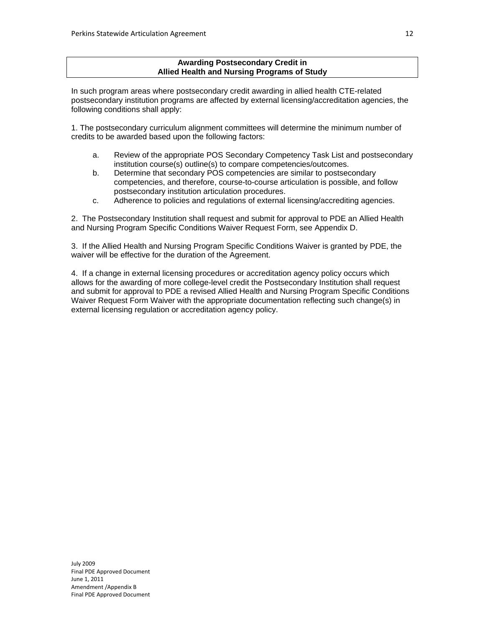### **Awarding Postsecondary Credit in Allied Health and Nursing Programs of Study**

In such program areas where postsecondary credit awarding in allied health CTE-related postsecondary institution programs are affected by external licensing/accreditation agencies, the following conditions shall apply:

1. The postsecondary curriculum alignment committees will determine the minimum number of credits to be awarded based upon the following factors:

- a. Review of the appropriate POS Secondary Competency Task List and postsecondary institution course(s) outline(s) to compare competencies/outcomes.
- b. Determine that secondary POS competencies are similar to postsecondary competencies, and therefore, course-to-course articulation is possible, and follow postsecondary institution articulation procedures.
- c. Adherence to policies and regulations of external licensing/accrediting agencies.

2. The Postsecondary Institution shall request and submit for approval to PDE an Allied Health and Nursing Program Specific Conditions Waiver Request Form, see Appendix D.

3. If the Allied Health and Nursing Program Specific Conditions Waiver is granted by PDE, the waiver will be effective for the duration of the Agreement.

4. If a change in external licensing procedures or accreditation agency policy occurs which allows for the awarding of more college-level credit the Postsecondary Institution shall request and submit for approval to PDE a revised Allied Health and Nursing Program Specific Conditions Waiver Request Form Waiver with the appropriate documentation reflecting such change(s) in external licensing regulation or accreditation agency policy.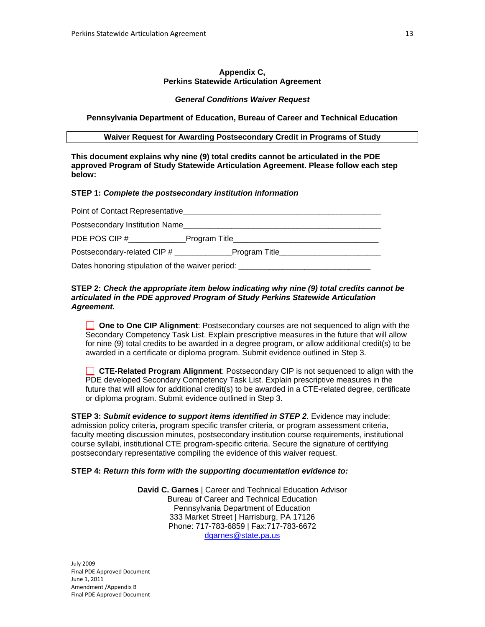#### **Appendix C, Perkins Statewide Articulation Agreement**

#### *General Conditions Waiver Request*

**Pennsylvania Department of Education, Bureau of Career and Technical Education** 

**Waiver Request for Awarding Postsecondary Credit in Programs of Study** 

**This document explains why nine (9) total credits cannot be articulated in the PDE approved Program of Study Statewide Articulation Agreement. Please follow each step below:** 

## **STEP 1:** *Complete the postsecondary institution information*

| Point of Contact Representative                                                  |                                                                                                                                                                                                                                      |  |
|----------------------------------------------------------------------------------|--------------------------------------------------------------------------------------------------------------------------------------------------------------------------------------------------------------------------------------|--|
| Postsecondary Institution Name                                                   |                                                                                                                                                                                                                                      |  |
| PDE POS CIP #                                                                    | Program Title <b>Contract Contract Contract Contract Contract Contract Contract Contract Contract Contract Contract Contract Contract Contract Contract Contract Contract Contract Contract Contract Contract Contract Contract </b> |  |
| Postsecondary-related CIP # ______________                                       | Program Title_____________________                                                                                                                                                                                                   |  |
| Dates honoring stipulation of the waiver period: _______________________________ |                                                                                                                                                                                                                                      |  |

### **STEP 2:** *Check the appropriate item below indicating why nine (9) total credits cannot be articulated in the PDE approved Program of Study Perkins Statewide Articulation Agreement.*

**One to One CIP Alignment:** Postsecondary courses are not sequenced to align with the Secondary Competency Task List. Explain prescriptive measures in the future that will allow for nine (9) total credits to be awarded in a degree program, or allow additional credit(s) to be awarded in a certificate or diploma program. Submit evidence outlined in Step 3.

 **CTE-Related Program Alignment**: Postsecondary CIP is not sequenced to align with the PDE developed Secondary Competency Task List. Explain prescriptive measures in the future that will allow for additional credit(s) to be awarded in a CTE-related degree, certificate or diploma program. Submit evidence outlined in Step 3.

**STEP 3:** *Submit evidence to support items identified in STEP 2*. Evidence may include: admission policy criteria, program specific transfer criteria, or program assessment criteria, faculty meeting discussion minutes, postsecondary institution course requirements, institutional course syllabi, institutional CTE program-specific criteria. Secure the signature of certifying postsecondary representative compiling the evidence of this waiver request.

## **STEP 4:** *Return this form with the supporting documentation evidence to:*

**David C. Garnes** | Career and Technical Education Advisor Bureau of Career and Technical Education Pennsylvania Department of Education 333 Market Street | Harrisburg, PA 17126 Phone: 717-783-6859 | Fax:717-783-6672 dgarnes@state.pa.us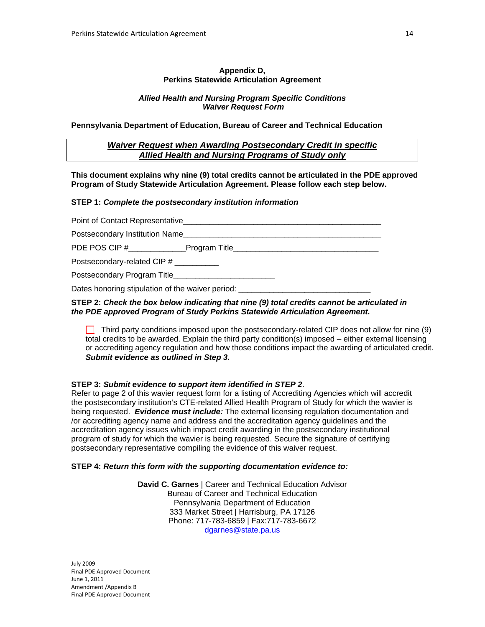#### **Appendix D, Perkins Statewide Articulation Agreement**

## *Allied Health and Nursing Program Specific Conditions Waiver Request Form*

**Pennsylvania Department of Education, Bureau of Career and Technical Education** 

# *Waiver Request when Awarding Postsecondary Credit in specific Allied Health and Nursing Programs of Study only*

**This document explains why nine (9) total credits cannot be articulated in the PDE approved Program of Study Statewide Articulation Agreement. Please follow each step below.** 

#### **STEP 1:** *Complete the postsecondary institution information*

| Postsecondary Institution Name                   |  |  |
|--------------------------------------------------|--|--|
|                                                  |  |  |
| Postsecondary-related CIP #                      |  |  |
|                                                  |  |  |
| Dates honoring stipulation of the waiver period: |  |  |

# **STEP 2:** *Check the box below indicating that nine (9) total credits cannot be articulated in the PDE approved Program of Study Perkins Statewide Articulation Agreement.*

 $\Box$  Third party conditions imposed upon the postsecondary-related CIP does not allow for nine (9) total credits to be awarded. Explain the third party condition(s) imposed – either external licensing or accrediting agency regulation and how those conditions impact the awarding of articulated credit. *Submit evidence as outlined in Step 3.*

## **STEP 3:** *Submit evidence to support item identified in STEP 2*.

Refer to page 2 of this wavier request form for a listing of Accrediting Agencies which will accredit the postsecondary institution's CTE-related Allied Health Program of Study for which the wavier is being requested. *Evidence must include:* The external licensing regulation documentation and /or accrediting agency name and address and the accreditation agency guidelines and the accreditation agency issues which impact credit awarding in the postsecondary institutional program of study for which the wavier is being requested. Secure the signature of certifying postsecondary representative compiling the evidence of this waiver request.

## **STEP 4:** *Return this form with the supporting documentation evidence to:*

**David C. Garnes** | Career and Technical Education Advisor Bureau of Career and Technical Education Pennsylvania Department of Education 333 Market Street | Harrisburg, PA 17126 Phone: 717-783-6859 | Fax:717-783-6672 dgarnes@state.pa.us